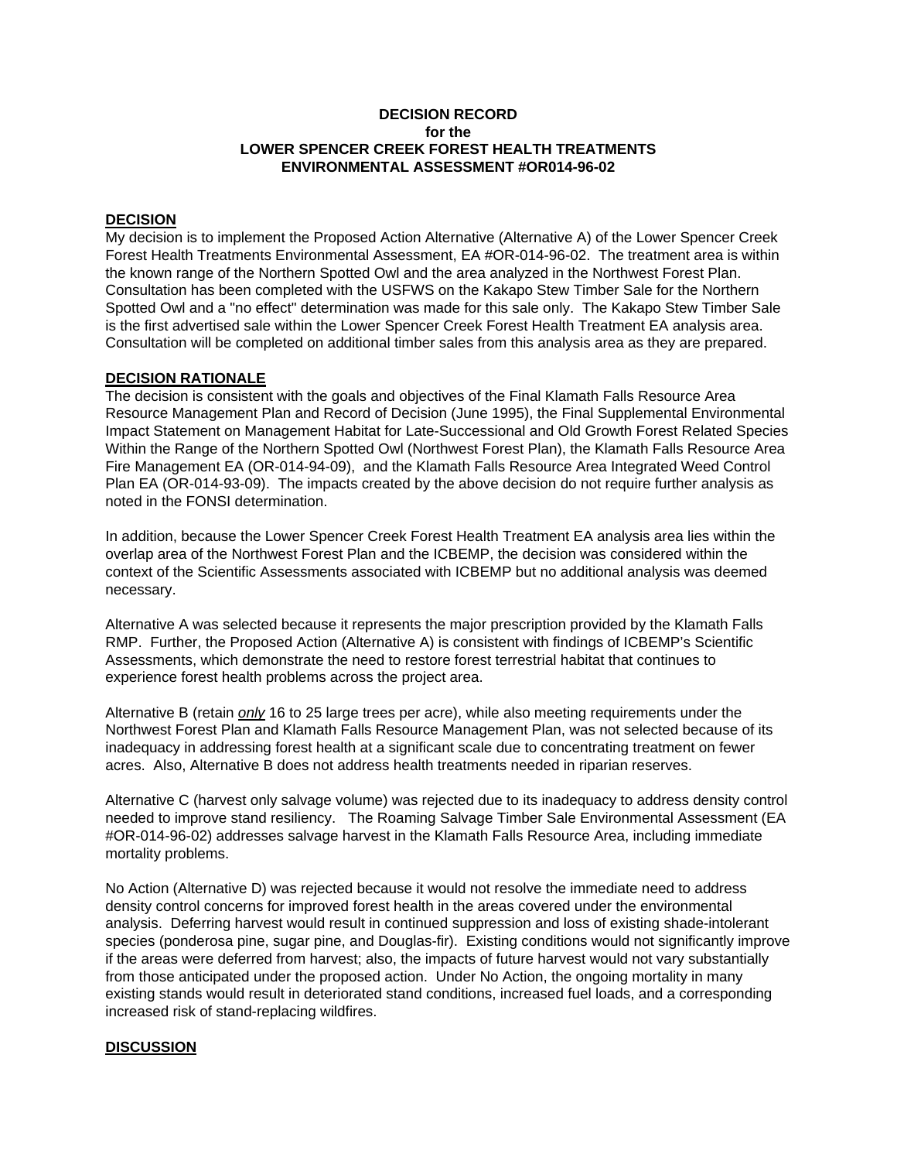#### **DECISION RECORD for the LOWER SPENCER CREEK FOREST HEALTH TREATMENTS ENVIRONMENTAL ASSESSMENT #OR014-96-02**

## **DECISION**

My decision is to implement the Proposed Action Alternative (Alternative A) of the Lower Spencer Creek Forest Health Treatments Environmental Assessment, EA #OR-014-96-02. The treatment area is within the known range of the Northern Spotted Owl and the area analyzed in the Northwest Forest Plan. Consultation has been completed with the USFWS on the Kakapo Stew Timber Sale for the Northern Spotted Owl and a "no effect" determination was made for this sale only. The Kakapo Stew Timber Sale is the first advertised sale within the Lower Spencer Creek Forest Health Treatment EA analysis area. Consultation will be completed on additional timber sales from this analysis area as they are prepared.

## **DECISION RATIONALE**

The decision is consistent with the goals and objectives of the Final Klamath Falls Resource Area Resource Management Plan and Record of Decision (June 1995), the Final Supplemental Environmental Impact Statement on Management Habitat for Late-Successional and Old Growth Forest Related Species Within the Range of the Northern Spotted Owl (Northwest Forest Plan), the Klamath Falls Resource Area Fire Management EA (OR-014-94-09), and the Klamath Falls Resource Area Integrated Weed Control Plan EA (OR-014-93-09). The impacts created by the above decision do not require further analysis as noted in the FONSI determination.

In addition, because the Lower Spencer Creek Forest Health Treatment EA analysis area lies within the overlap area of the Northwest Forest Plan and the ICBEMP, the decision was considered within the context of the Scientific Assessments associated with ICBEMP but no additional analysis was deemed necessary.

Alternative A was selected because it represents the major prescription provided by the Klamath Falls RMP. Further, the Proposed Action (Alternative A) is consistent with findings of ICBEMP's Scientific Assessments, which demonstrate the need to restore forest terrestrial habitat that continues to experience forest health problems across the project area.

Alternative B (retain *only* 16 to 25 large trees per acre), while also meeting requirements under the Northwest Forest Plan and Klamath Falls Resource Management Plan, was not selected because of its inadequacy in addressing forest health at a significant scale due to concentrating treatment on fewer acres. Also, Alternative B does not address health treatments needed in riparian reserves.

Alternative C (harvest only salvage volume) was rejected due to its inadequacy to address density control needed to improve stand resiliency. The Roaming Salvage Timber Sale Environmental Assessment (EA #OR-014-96-02) addresses salvage harvest in the Klamath Falls Resource Area, including immediate mortality problems.

No Action (Alternative D) was rejected because it would not resolve the immediate need to address density control concerns for improved forest health in the areas covered under the environmental analysis. Deferring harvest would result in continued suppression and loss of existing shade-intolerant species (ponderosa pine, sugar pine, and Douglas-fir). Existing conditions would not significantly improve if the areas were deferred from harvest; also, the impacts of future harvest would not vary substantially from those anticipated under the proposed action. Under No Action, the ongoing mortality in many existing stands would result in deteriorated stand conditions, increased fuel loads, and a corresponding increased risk of stand-replacing wildfires.

# **DISCUSSION**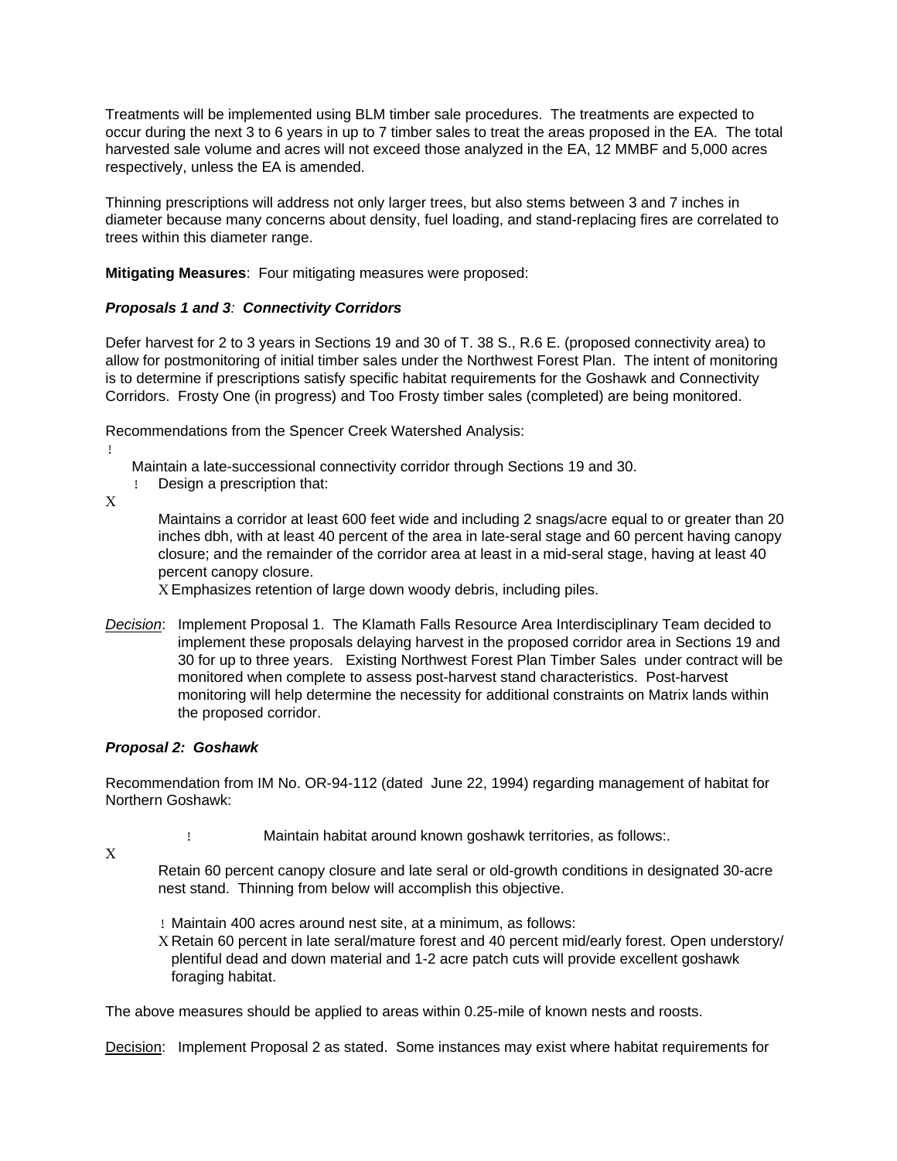Treatments will be implemented using BLM timber sale procedures. The treatments are expected to occur during the next 3 to 6 years in up to 7 timber sales to treat the areas proposed in the EA. The total harvested sale volume and acres will not exceed those analyzed in the EA, 12 MMBF and 5,000 acres respectively, unless the EA is amended.

Thinning prescriptions will address not only larger trees, but also stems between 3 and 7 inches in diameter because many concerns about density, fuel loading, and stand-replacing fires are correlated to trees within this diameter range.

**Mitigating Measures**: Four mitigating measures were proposed:

# *Proposals 1 and 3: Connectivity Corridors*

Defer harvest for 2 to 3 years in Sections 19 and 30 of T. 38 S., R.6 E. (proposed connectivity area) to allow for postmonitoring of initial timber sales under the Northwest Forest Plan. The intent of monitoring is to determine if prescriptions satisfy specific habitat requirements for the Goshawk and Connectivity Corridors. Frosty One (in progress) and Too Frosty timber sales (completed) are being monitored.

Recommendations from the Spencer Creek Watershed Analysis:

Maintain a late-successional connectivity corridor through Sections 19 and 30.

! Design a prescription that:

Χ

!

Maintains a corridor at least 600 feet wide and including 2 snags/acre equal to or greater than 20 inches dbh, with at least 40 percent of the area in late-seral stage and 60 percent having canopy closure; and the remainder of the corridor area at least in a mid-seral stage, having at least 40 percent canopy closure.

Χ Emphasizes retention of large down woody debris, including piles.

*Decision*: Implement Proposal 1. The Klamath Falls Resource Area Interdisciplinary Team decided to implement these proposals delaying harvest in the proposed corridor area in Sections 19 and 30 for up to three years. Existing Northwest Forest Plan Timber Sales under contract will be monitored when complete to assess post-harvest stand characteristics. Post-harvest monitoring will help determine the necessity for additional constraints on Matrix lands within the proposed corridor.

#### *Proposal 2: Goshawk*

Recommendation from IM No. OR-94-112 (dated June 22, 1994) regarding management of habitat for Northern Goshawk:

- ! Maintain habitat around known goshawk territories, as follows:.
- Χ

Retain 60 percent canopy closure and late seral or old-growth conditions in designated 30-acre nest stand. Thinning from below will accomplish this objective.

- ! Maintain 400 acres around nest site, at a minimum, as follows:
- Χ Retain 60 percent in late seral/mature forest and 40 percent mid/early forest. Open understory/ plentiful dead and down material and 1-2 acre patch cuts will provide excellent goshawk foraging habitat.

The above measures should be applied to areas within 0.25-mile of known nests and roosts.

Decision: Implement Proposal 2 as stated. Some instances may exist where habitat requirements for